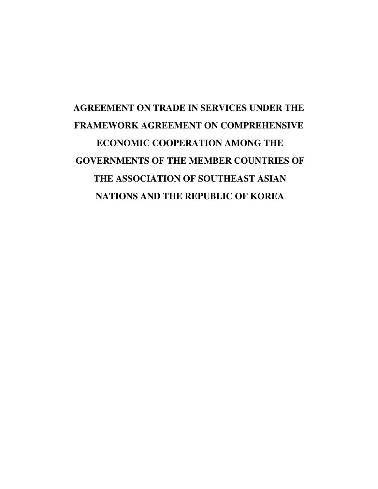# **AGREEMENT ON TRADE IN SERVICES UNDER THE FRAMEWORK AGREEMENT ON COMPREHENSIVE ECONOMIC COOPERATION AMONG THE GOVERNMENTS OF THE MEMBER COUNTRIES OF THE ASSOCIATION OF SOUTHEAST ASIAN NATIONS AND THE REPUBLIC OF KOREA**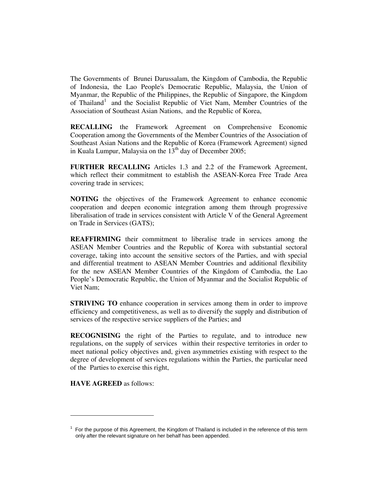The Governments of Brunei Darussalam, the Kingdom of Cambodia, the Republic of Indonesia, the Lao People's Democratic Republic, Malaysia, the Union of Myanmar, the Republic of the Philippines, the Republic of Singapore, the Kingdom of Thailand<sup>1</sup> and the Socialist Republic of Viet Nam, Member Countries of the Association of Southeast Asian Nations, and the Republic of Korea,

**RECALLING** the Framework Agreement on Comprehensive Economic Cooperation among the Governments of the Member Countries of the Association of Southeast Asian Nations and the Republic of Korea (Framework Agreement) signed in Kuala Lumpur, Malaysia on the  $13<sup>th</sup>$  day of December 2005;

**FURTHER RECALLING** Articles 1.3 and 2.2 of the Framework Agreement, which reflect their commitment to establish the ASEAN-Korea Free Trade Area covering trade in services;

**NOTING** the objectives of the Framework Agreement to enhance economic cooperation and deepen economic integration among them through progressive liberalisation of trade in services consistent with Article V of the General Agreement on Trade in Services (GATS);

**REAFFIRMING** their commitment to liberalise trade in services among the ASEAN Member Countries and the Republic of Korea with substantial sectoral coverage, taking into account the sensitive sectors of the Parties, and with special and differential treatment to ASEAN Member Countries and additional flexibility for the new ASEAN Member Countries of the Kingdom of Cambodia, the Lao People's Democratic Republic, the Union of Myanmar and the Socialist Republic of Viet Nam;

**STRIVING TO** enhance cooperation in services among them in order to improve efficiency and competitiveness, as well as to diversify the supply and distribution of services of the respective service suppliers of the Parties; and

**RECOGNISING** the right of the Parties to regulate, and to introduce new regulations, on the supply of services within their respective territories in order to meet national policy objectives and, given asymmetries existing with respect to the degree of development of services regulations within the Parties, the particular need of the Parties to exercise this right,

**HAVE AGREED** as follows:

<sup>&</sup>lt;sup>1</sup> For the purpose of this Agreement, the Kingdom of Thailand is included in the reference of this term only after the relevant signature on her behalf has been appended.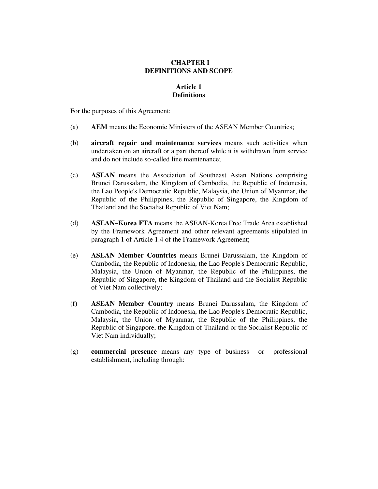# **CHAPTER I DEFINITIONS AND SCOPE**

# **Article 1 Definitions**

For the purposes of this Agreement:

- (a) **AEM** means the Economic Ministers of the ASEAN Member Countries;
- (b) **aircraft repair and maintenance services** means such activities when undertaken on an aircraft or a part thereof while it is withdrawn from service and do not include so-called line maintenance;
- (c) **ASEAN** means the Association of Southeast Asian Nations comprising Brunei Darussalam, the Kingdom of Cambodia, the Republic of Indonesia, the Lao People's Democratic Republic, Malaysia, the Union of Myanmar, the Republic of the Philippines, the Republic of Singapore, the Kingdom of Thailand and the Socialist Republic of Viet Nam;
- (d) **ASEAN–Korea FTA** means the ASEAN-Korea Free Trade Area established by the Framework Agreement and other relevant agreements stipulated in paragraph 1 of Article 1.4 of the Framework Agreement;
- (e) **ASEAN Member Countries** means Brunei Darussalam, the Kingdom of Cambodia, the Republic of Indonesia, the Lao People's Democratic Republic, Malaysia, the Union of Myanmar, the Republic of the Philippines, the Republic of Singapore, the Kingdom of Thailand and the Socialist Republic of Viet Nam collectively;
- (f) **ASEAN Member Country** means Brunei Darussalam, the Kingdom of Cambodia, the Republic of Indonesia, the Lao People's Democratic Republic, Malaysia, the Union of Myanmar, the Republic of the Philippines, the Republic of Singapore, the Kingdom of Thailand or the Socialist Republic of Viet Nam individually;
- (g) **commercial presence** means any type of business or professional establishment, including through: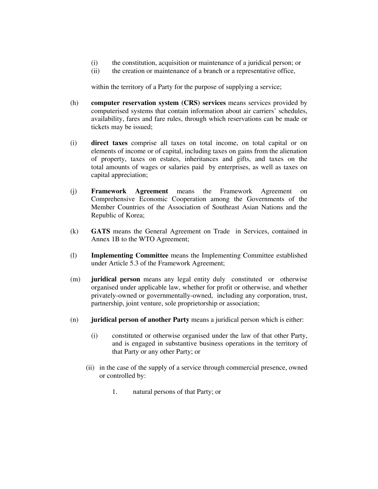- (i) the constitution, acquisition or maintenance of a juridical person; or
- (ii) the creation or maintenance of a branch or a representative office,

within the territory of a Party for the purpose of supplying a service;

- (h) **computer reservation system (CRS) services** means services provided by computerised systems that contain information about air carriers' schedules, availability, fares and fare rules, through which reservations can be made or tickets may be issued;
- (i) **direct taxes** comprise all taxes on total income, on total capital or on elements of income or of capital, including taxes on gains from the alienation of property, taxes on estates, inheritances and gifts, and taxes on the total amounts of wages or salaries paid by enterprises, as well as taxes on capital appreciation;
- (j) **Framework Agreement** means the Framework Agreement on Comprehensive Economic Cooperation among the Governments of the Member Countries of the Association of Southeast Asian Nations and the Republic of Korea;
- (k) **GATS** means the General Agreement on Trade in Services, contained in Annex 1B to the WTO Agreement;
- (l) **Implementing Committee** means the Implementing Committee established under Article 5.3 of the Framework Agreement;
- (m) **juridical person** means any legal entity duly constituted or otherwise organised under applicable law, whether for profit or otherwise, and whether privately-owned or governmentally-owned, including any corporation, trust, partnership, joint venture, sole proprietorship or association;
- (n) **juridical person of another Party** means a juridical person which is either:
	- (i) constituted or otherwise organised under the law of that other Party, and is engaged in substantive business operations in the territory of that Party or any other Party; or
	- (ii) in the case of the supply of a service through commercial presence, owned or controlled by:
		- 1. natural persons of that Party; or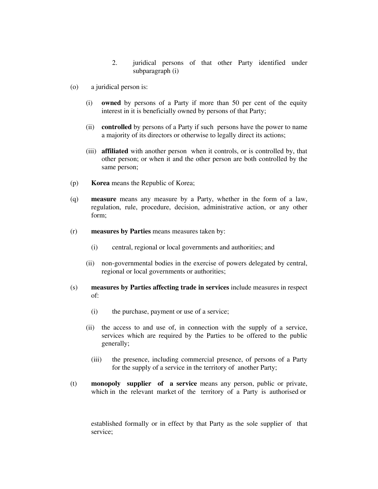- 2. juridical persons of that other Party identified under subparagraph (i)
- (o) a juridical person is:
	- (i) **owned** by persons of a Party if more than 50 per cent of the equity interest in it is beneficially owned by persons of that Party;
	- (ii) **controlled** by persons of a Party if such persons have the power to name a majority of its directors or otherwise to legally direct its actions;
	- (iii) **affiliated** with another person when it controls, or is controlled by, that other person; or when it and the other person are both controlled by the same person;
- (p) **Korea** means the Republic of Korea;
- (q) **measure** means any measure by a Party, whether in the form of a law, regulation, rule, procedure, decision, administrative action, or any other form;
- (r) **measures by Parties** means measures taken by:
	- (i) central, regional or local governments and authorities; and
	- (ii) non-governmental bodies in the exercise of powers delegated by central, regional or local governments or authorities;
- (s) **measures by Parties affecting trade in services** include measures in respect of:
	- (i) the purchase, payment or use of a service;
	- (ii) the access to and use of, in connection with the supply of a service, services which are required by the Parties to be offered to the public generally;
		- (iii) the presence, including commercial presence, of persons of a Party for the supply of a service in the territory of another Party;
- (t) **monopoly supplier of a service** means any person, public or private, which in the relevant market of the territory of a Party is authorised or

established formally or in effect by that Party as the sole supplier of that service;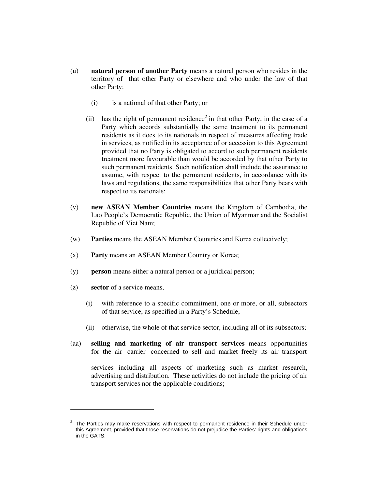- (u) **natural person of another Party** means a natural person who resides in the territory of that other Party or elsewhere and who under the law of that other Party:
	- (i) is a national of that other Party; or
	- (ii) has the right of permanent residence<sup>2</sup> in that other Party, in the case of a Party which accords substantially the same treatment to its permanent residents as it does to its nationals in respect of measures affecting trade in services, as notified in its acceptance of or accession to this Agreement provided that no Party is obligated to accord to such permanent residents treatment more favourable than would be accorded by that other Party to such permanent residents. Such notification shall include the assurance to assume, with respect to the permanent residents, in accordance with its laws and regulations, the same responsibilities that other Party bears with respect to its nationals;
- (v) **new ASEAN Member Countries** means the Kingdom of Cambodia, the Lao People's Democratic Republic, the Union of Myanmar and the Socialist Republic of Viet Nam;
- (w) **Parties** means the ASEAN Member Countries and Korea collectively;
- (x) **Party** means an ASEAN Member Country or Korea;
- (y) **person** means either a natural person or a juridical person;
- (z) **sector** of a service means,

 $\overline{a}$ 

- (i) with reference to a specific commitment, one or more, or all, subsectors of that service, as specified in a Party's Schedule,
- (ii) otherwise, the whole of that service sector, including all of its subsectors;
- (aa) **selling and marketing of air transport services** means opportunities for the air carrier concerned to sell and market freely its air transport

services including all aspects of marketing such as market research, advertising and distribution. These activities do not include the pricing of air transport services nor the applicable conditions;

<sup>2</sup> The Parties may make reservations with respect to permanent residence in their Schedule under this Agreement, provided that those reservations do not prejudice the Parties' rights and obligations in the GATS.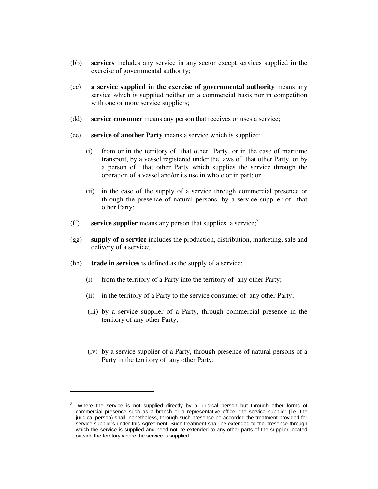- (bb) **services** includes any service in any sector except services supplied in the exercise of governmental authority;
- (cc) **a service supplied in the exercise of governmental authority** means any service which is supplied neither on a commercial basis nor in competition with one or more service suppliers;
- (dd) **service consumer** means any person that receives or uses a service;
- (ee) **service of another Party** means a service which is supplied:
	- (i) from or in the territory of that other Party, or in the case of maritime transport, by a vessel registered under the laws of that other Party, or by a person of that other Party which supplies the service through the operation of a vessel and/or its use in whole or in part; or
	- (ii) in the case of the supply of a service through commercial presence or through the presence of natural persons, by a service supplier of that other Party;
- (ff) **service supplier** means any person that supplies a service;<sup>3</sup>
- (gg) **supply of a service** includes the production, distribution, marketing, sale and delivery of a service;
- (hh) **trade in services** is defined as the supply of a service:

- (i) from the territory of a Party into the territory of any other Party;
- (ii) in the territory of a Party to the service consumer of any other Party;
- (iii) by a service supplier of a Party, through commercial presence in the territory of any other Party;
- (iv) by a service supplier of a Party, through presence of natural persons of a Party in the territory of any other Party;

Where the service is not supplied directly by a juridical person but through other forms of commercial presence such as a branch or a representative office, the service supplier (i.e. the juridical person) shall, nonetheless, through such presence be accorded the treatment provided for service suppliers under this Agreement. Such treatment shall be extended to the presence through which the service is supplied and need not be extended to any other parts of the supplier located outside the territory where the service is supplied.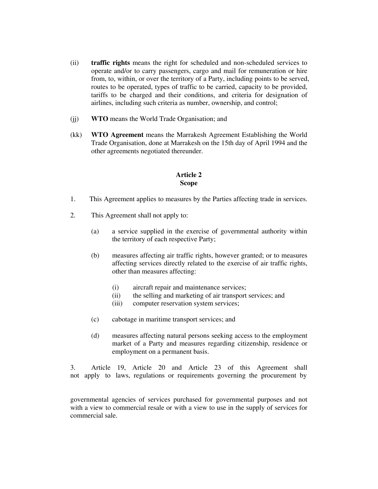- (ii) **traffic rights** means the right for scheduled and non-scheduled services to operate and/or to carry passengers, cargo and mail for remuneration or hire from, to, within, or over the territory of a Party, including points to be served, routes to be operated, types of traffic to be carried, capacity to be provided, tariffs to be charged and their conditions, and criteria for designation of airlines, including such criteria as number, ownership, and control;
- (jj) **WTO** means the World Trade Organisation; and
- (kk) **WTO Agreement** means the Marrakesh Agreement Establishing the World Trade Organisation, done at Marrakesh on the 15th day of April 1994 and the other agreements negotiated thereunder.

# **Article 2 Scope**

- 1. This Agreement applies to measures by the Parties affecting trade in services.
- 2. This Agreement shall not apply to:
	- (a) a service supplied in the exercise of governmental authority within the territory of each respective Party;
	- (b) measures affecting air traffic rights, however granted; or to measures affecting services directly related to the exercise of air traffic rights, other than measures affecting:
		- (i) aircraft repair and maintenance services;
		- (ii) the selling and marketing of air transport services; and
		- (iii) computer reservation system services;
	- (c) cabotage in maritime transport services; and
	- (d) measures affecting natural persons seeking access to the employment market of a Party and measures regarding citizenship, residence or employment on a permanent basis.

3. Article 19, Article 20 and Article 23 of this Agreement shall not apply to laws, regulations or requirements governing the procurement by

governmental agencies of services purchased for governmental purposes and not with a view to commercial resale or with a view to use in the supply of services for commercial sale.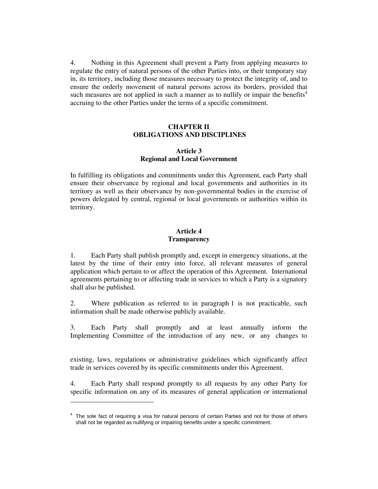4. Nothing in this Agreement shall prevent a Party from applying measures to regulate the entry of natural persons of the other Parties into, or their temporary stay in, its territory, including those measures necessary to protect the integrity of, and to ensure the orderly movement of natural persons across its borders, provided that such measures are not applied in such a manner as to nullify or impair the benefits<sup>4</sup> accruing to the other Parties under the terms of a specific commitment.

#### **CHAPTER II OBLIGATIONS AND DISCIPLINES**

### **Article 3 Regional and Local Government**

In fulfilling its obligations and commitments under this Agreement, each Party shall ensure their observance by regional and local governments and authorities in its territory as well as their observance by non-governmental bodies in the exercise of powers delegated by central, regional or local governments or authorities within its territory.

# **Article 4 Transparency**

1. Each Party shall publish promptly and, except in emergency situations, at the latest by the time of their entry into force, all relevant measures of general application which pertain to or affect the operation of this Agreement. International agreements pertaining to or affecting trade in services to which a Party is a signatory shall also be published.

2. Where publication as referred to in paragraph 1 is not practicable, such information shall be made otherwise publicly available.

3. Each Party shall promptly and at least annually inform the Implementing Committee of the introduction of any new, or any changes to

existing, laws, regulations or administrative guidelines which significantly affect trade in services covered by its specific commitments under this Agreement.

4. Each Party shall respond promptly to all requests by any other Party for specific information on any of its measures of general application or international

<sup>&</sup>lt;sup>4</sup> The sole fact of requiring a visa for natural persons of certain Parties and not for those of others shall not be regarded as nullifying or impairing benefits under a specific commitment.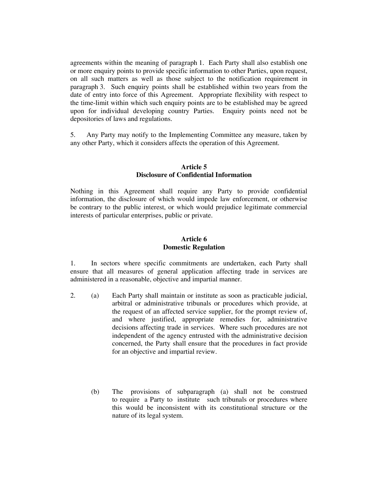agreements within the meaning of paragraph 1. Each Party shall also establish one or more enquiry points to provide specific information to other Parties, upon request, on all such matters as well as those subject to the notification requirement in paragraph 3. Such enquiry points shall be established within two years from the date of entry into force of this Agreement. Appropriate flexibility with respect to the time-limit within which such enquiry points are to be established may be agreed upon for individual developing country Parties. Enquiry points need not be depositories of laws and regulations.

5. Any Party may notify to the Implementing Committee any measure, taken by any other Party, which it considers affects the operation of this Agreement.

#### **Article 5 Disclosure of Confidential Information**

Nothing in this Agreement shall require any Party to provide confidential information, the disclosure of which would impede law enforcement, or otherwise be contrary to the public interest, or which would prejudice legitimate commercial interests of particular enterprises, public or private.

# **Article 6 Domestic Regulation**

1. In sectors where specific commitments are undertaken, each Party shall ensure that all measures of general application affecting trade in services are administered in a reasonable, objective and impartial manner.

- 2. (a) Each Party shall maintain or institute as soon as practicable judicial, arbitral or administrative tribunals or procedures which provide, at the request of an affected service supplier, for the prompt review of, and where justified, appropriate remedies for, administrative decisions affecting trade in services. Where such procedures are not independent of the agency entrusted with the administrative decision concerned, the Party shall ensure that the procedures in fact provide for an objective and impartial review.
	- (b) The provisions of subparagraph (a) shall not be construed to require a Party to institute such tribunals or procedures where this would be inconsistent with its constitutional structure or the nature of its legal system.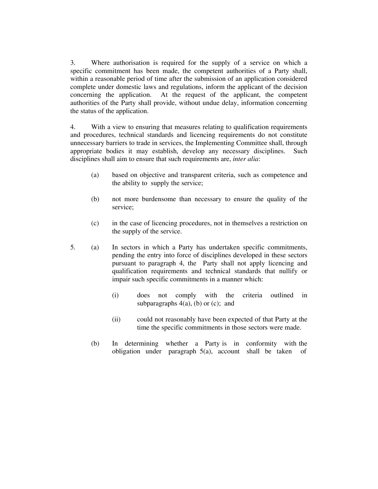3. Where authorisation is required for the supply of a service on which a specific commitment has been made, the competent authorities of a Party shall, within a reasonable period of time after the submission of an application considered complete under domestic laws and regulations, inform the applicant of the decision concerning the application. At the request of the applicant, the competent authorities of the Party shall provide, without undue delay, information concerning the status of the application.

4. With a view to ensuring that measures relating to qualification requirements and procedures, technical standards and licencing requirements do not constitute unnecessary barriers to trade in services, the Implementing Committee shall, through appropriate bodies it may establish, develop any necessary disciplines. Such disciplines shall aim to ensure that such requirements are, *inter alia*:

- (a) based on objective and transparent criteria, such as competence and the ability to supply the service;
- (b) not more burdensome than necessary to ensure the quality of the service;
- (c) in the case of licencing procedures, not in themselves a restriction on the supply of the service.
- 5. (a) In sectors in which a Party has undertaken specific commitments, pending the entry into force of disciplines developed in these sectors pursuant to paragraph 4, the Party shall not apply licencing and qualification requirements and technical standards that nullify or impair such specific commitments in a manner which:
	- (i) does not comply with the criteria outlined in subparagraphs  $4(a)$ , (b) or (c); and
	- (ii) could not reasonably have been expected of that Party at the time the specific commitments in those sectors were made.
	- (b) In determining whether a Party is in conformity with the obligation under paragraph 5(a), account shall be taken of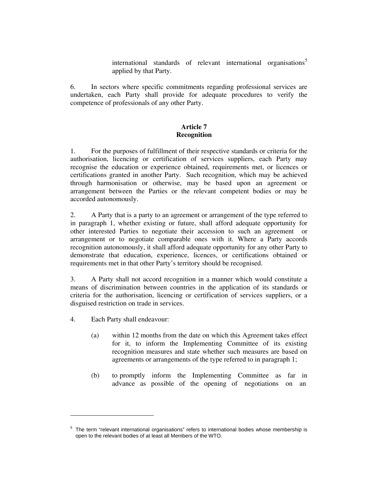international standards of relevant international organisations<sup>5</sup> applied by that Party.

6. In sectors where specific commitments regarding professional services are undertaken, each Party shall provide for adequate procedures to verify the competence of professionals of any other Party.

#### **Article 7 Recognition**

1. For the purposes of fulfillment of their respective standards or criteria for the authorisation, licencing or certification of services suppliers, each Party may recognise the education or experience obtained, requirements met, or licences or certifications granted in another Party. Such recognition, which may be achieved through harmonisation or otherwise, may be based upon an agreement or arrangement between the Parties or the relevant competent bodies or may be accorded autonomously.

2. A Party that is a party to an agreement or arrangement of the type referred to in paragraph 1, whether existing or future, shall afford adequate opportunity for other interested Parties to negotiate their accession to such an agreement or arrangement or to negotiate comparable ones with it. Where a Party accords recognition autonomously, it shall afford adequate opportunity for any other Party to demonstrate that education, experience, licences, or certifications obtained or requirements met in that other Party's territory should be recognised.

3. A Party shall not accord recognition in a manner which would constitute a means of discrimination between countries in the application of its standards or criteria for the authorisation, licencing or certification of services suppliers, or a disguised restriction on trade in services.

4. Each Party shall endeavour:

- (a) within 12 months from the date on which this Agreement takes effect for it, to inform the Implementing Committee of its existing recognition measures and state whether such measures are based on agreements or arrangements of the type referred to in paragraph 1;
- (b) to promptly inform the Implementing Committee as far in advance as possible of the opening of negotiations on an

<sup>5</sup> The term "relevant international organisations" refers to international bodies whose membership is open to the relevant bodies of at least all Members of the WTO.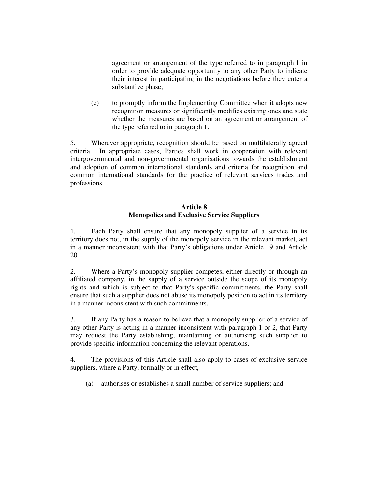agreement or arrangement of the type referred to in paragraph 1 in order to provide adequate opportunity to any other Party to indicate their interest in participating in the negotiations before they enter a substantive phase;

(c) to promptly inform the Implementing Committee when it adopts new recognition measures or significantly modifies existing ones and state whether the measures are based on an agreement or arrangement of the type referred to in paragraph 1.

5. Wherever appropriate, recognition should be based on multilaterally agreed criteria. In appropriate cases, Parties shall work in cooperation with relevant intergovernmental and non-governmental organisations towards the establishment and adoption of common international standards and criteria for recognition and common international standards for the practice of relevant services trades and professions.

# **Article 8 Monopolies and Exclusive Service Suppliers**

1. Each Party shall ensure that any monopoly supplier of a service in its territory does not, in the supply of the monopoly service in the relevant market, act in a manner inconsistent with that Party's obligations under Article 19 and Article 20*.*

2. Where a Party's monopoly supplier competes, either directly or through an affiliated company, in the supply of a service outside the scope of its monopoly rights and which is subject to that Party's specific commitments, the Party shall ensure that such a supplier does not abuse its monopoly position to act in its territory in a manner inconsistent with such commitments.

3. If any Party has a reason to believe that a monopoly supplier of a service of any other Party is acting in a manner inconsistent with paragraph 1 or 2, that Party may request the Party establishing, maintaining or authorising such supplier to provide specific information concerning the relevant operations.

4. The provisions of this Article shall also apply to cases of exclusive service suppliers, where a Party, formally or in effect,

(a) authorises or establishes a small number of service suppliers; and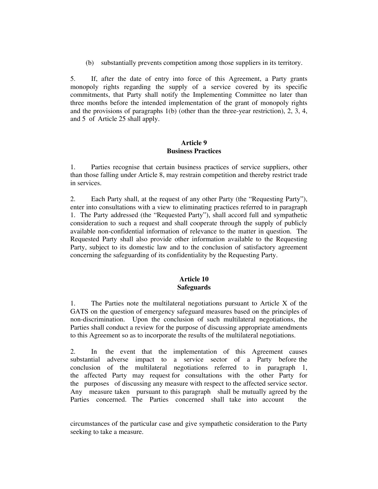(b) substantially prevents competition among those suppliers in its territory.

5. If, after the date of entry into force of this Agreement, a Party grants monopoly rights regarding the supply of a service covered by its specific commitments, that Party shall notify the Implementing Committee no later than three months before the intended implementation of the grant of monopoly rights and the provisions of paragraphs 1(b) (other than the three-year restriction), 2, 3, 4, and 5 of Article 25 shall apply.

#### **Article 9 Business Practices**

1. Parties recognise that certain business practices of service suppliers, other than those falling under Article 8, may restrain competition and thereby restrict trade in services.

2. Each Party shall, at the request of any other Party (the "Requesting Party"), enter into consultations with a view to eliminating practices referred to in paragraph 1. The Party addressed (the "Requested Party"), shall accord full and sympathetic consideration to such a request and shall cooperate through the supply of publicly available non-confidential information of relevance to the matter in question. The Requested Party shall also provide other information available to the Requesting Party, subject to its domestic law and to the conclusion of satisfactory agreement concerning the safeguarding of its confidentiality by the Requesting Party.

#### **Article 10 Safeguards**

1. The Parties note the multilateral negotiations pursuant to Article X of the GATS on the question of emergency safeguard measures based on the principles of non-discrimination. Upon the conclusion of such multilateral negotiations, the Parties shall conduct a review for the purpose of discussing appropriate amendments to this Agreement so as to incorporate the results of the multilateral negotiations.

2. In the event that the implementation of this Agreement causes substantial adverse impact to a service sector of a Party before the conclusion of the multilateral negotiations referred to in paragraph 1, the affected Party may request for consultations with the other Party for the purposes of discussing any measure with respect to the affected service sector. Any measure taken pursuant to this paragraph shall be mutually agreed by the Parties concerned. The Parties concerned shall take into account the

circumstances of the particular case and give sympathetic consideration to the Party seeking to take a measure.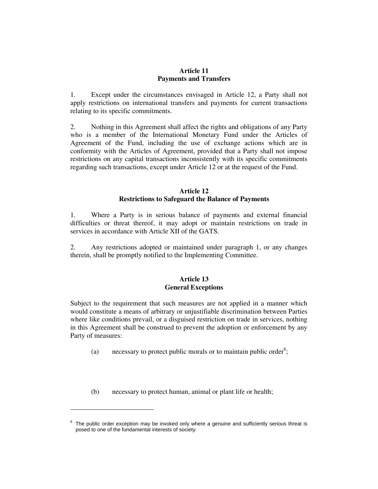#### **Article 11 Payments and Transfers**

1. Except under the circumstances envisaged in Article 12, a Party shall not apply restrictions on international transfers and payments for current transactions relating to its specific commitments.

2. Nothing in this Agreement shall affect the rights and obligations of any Party who is a member of the International Monetary Fund under the Articles of Agreement of the Fund, including the use of exchange actions which are in conformity with the Articles of Agreement, provided that a Party shall not impose restrictions on any capital transactions inconsistently with its specific commitments regarding such transactions, except under Article 12 or at the request of the Fund.

### **Article 12 Restrictions to Safeguard the Balance of Payments**

1. Where a Party is in serious balance of payments and external financial difficulties or threat thereof, it may adopt or maintain restrictions on trade in services in accordance with Article XII of the GATS.

2. Any restrictions adopted or maintained under paragraph 1, or any changes therein, shall be promptly notified to the Implementing Committee.

#### **Article 13 General Exceptions**

Subject to the requirement that such measures are not applied in a manner which would constitute a means of arbitrary or unjustifiable discrimination between Parties where like conditions prevail, or a disguised restriction on trade in services, nothing in this Agreement shall be construed to prevent the adoption or enforcement by any Party of measures:

(a) necessary to protect public morals or to maintain public order<sup>6</sup>;

(b) necessary to protect human, animal or plant life or health;

 $6$  The public order exception may be invoked only where a genuine and sufficiently serious threat is posed to one of the fundamental interests of society.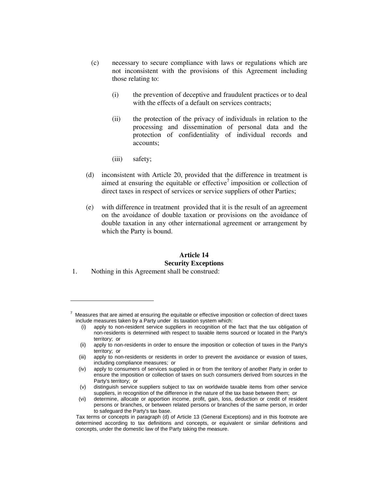- (c) necessary to secure compliance with laws or regulations which are not inconsistent with the provisions of this Agreement including those relating to:
	- (i) the prevention of deceptive and fraudulent practices or to deal with the effects of a default on services contracts:
	- (ii) the protection of the privacy of individuals in relation to the processing and dissemination of personal data and the protection of confidentiality of individual records and accounts;
	- (iii) safety;
- (d) inconsistent with Article 20, provided that the difference in treatment is aimed at ensuring the equitable or effective<sup>7</sup> imposition or collection of direct taxes in respect of services or service suppliers of other Parties;
- (e) with difference in treatment provided that it is the result of an agreement on the avoidance of double taxation or provisions on the avoidance of double taxation in any other international agreement or arrangement by which the Party is bound.

# **Article 14 Security Exceptions**

1. Nothing in this Agreement shall be construed:

<sup>7</sup> Measures that are aimed at ensuring the equitable or effective imposition or collection of direct taxes include measures taken by a Party under its taxation system which:

<sup>(</sup>i) apply to non-resident service suppliers in recognition of the fact that the tax obligation of non-residents is determined with respect to taxable items sourced or located in the Party's territory; or

<sup>(</sup>ii) apply to non-residents in order to ensure the imposition or collection of taxes in the Party's territory; or

<sup>(</sup>iii) apply to non-residents or residents in order to prevent the avoidance or evasion of taxes, including compliance measures; or

<sup>(</sup>iv) apply to consumers of services supplied in or from the territory of another Party in order to ensure the imposition or collection of taxes on such consumers derived from sources in the Party's territory; or

<sup>(</sup>v) distinguish service suppliers subject to tax on worldwide taxable items from other service suppliers, in recognition of the difference in the nature of the tax base between them; or

<sup>(</sup>vi) determine, allocate or apportion income, profit, gain, loss, deduction or credit of resident persons or branches, or between related persons or branches of the same person, in order to safeguard the Party's tax base.

Tax terms or concepts in paragraph (d) of Article 13 (General Exceptions) and in this footnote are determined according to tax definitions and concepts, or equivalent or similar definitions and concepts, under the domestic law of the Party taking the measure.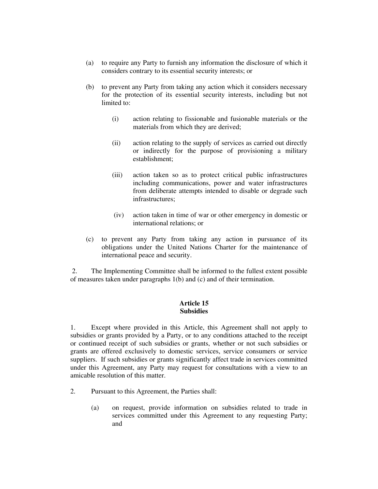- (a) to require any Party to furnish any information the disclosure of which it considers contrary to its essential security interests; or
- (b) to prevent any Party from taking any action which it considers necessary for the protection of its essential security interests, including but not limited to:
	- (i) action relating to fissionable and fusionable materials or the materials from which they are derived;
	- (ii) action relating to the supply of services as carried out directly or indirectly for the purpose of provisioning a military establishment;
	- (iii) action taken so as to protect critical public infrastructures including communications, power and water infrastructures from deliberate attempts intended to disable or degrade such infrastructures;
	- (iv) action taken in time of war or other emergency in domestic or international relations; or
- (c) to prevent any Party from taking any action in pursuance of its obligations under the United Nations Charter for the maintenance of international peace and security.

 2. The Implementing Committee shall be informed to the fullest extent possible of measures taken under paragraphs 1(b) and (c) and of their termination.

#### **Article 15 Subsidies**

1. Except where provided in this Article, this Agreement shall not apply to subsidies or grants provided by a Party, or to any conditions attached to the receipt or continued receipt of such subsidies or grants, whether or not such subsidies or grants are offered exclusively to domestic services, service consumers or service suppliers. If such subsidies or grants significantly affect trade in services committed under this Agreement, any Party may request for consultations with a view to an amicable resolution of this matter.

- 2. Pursuant to this Agreement, the Parties shall:
	- (a) on request, provide information on subsidies related to trade in services committed under this Agreement to any requesting Party; and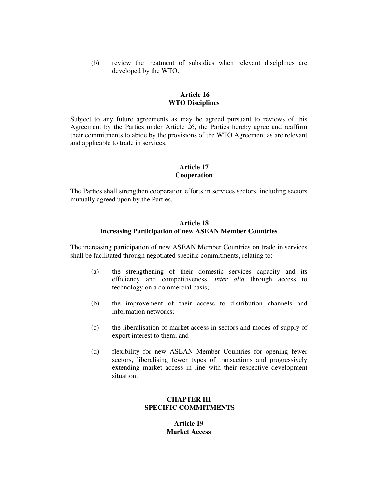(b) review the treatment of subsidies when relevant disciplines are developed by the WTO.

#### **Article 16 WTO Disciplines**

Subject to any future agreements as may be agreed pursuant to reviews of this Agreement by the Parties under Article 26, the Parties hereby agree and reaffirm their commitments to abide by the provisions of the WTO Agreement as are relevant and applicable to trade in services.

#### **Article 17 Cooperation**

The Parties shall strengthen cooperation efforts in services sectors, including sectors mutually agreed upon by the Parties.

#### **Article 18 Increasing Participation of new ASEAN Member Countries**

The increasing participation of new ASEAN Member Countries on trade in services shall be facilitated through negotiated specific commitments, relating to:

- (a) the strengthening of their domestic services capacity and its efficiency and competitiveness, *inter alia* through access to technology on a commercial basis;
- (b) the improvement of their access to distribution channels and information networks;
- (c) the liberalisation of market access in sectors and modes of supply of export interest to them; and
- (d) flexibility for new ASEAN Member Countries for opening fewer sectors, liberalising fewer types of transactions and progressively extending market access in line with their respective development situation.

#### **CHAPTER III SPECIFIC COMMITMENTS**

**Article 19 Market Access**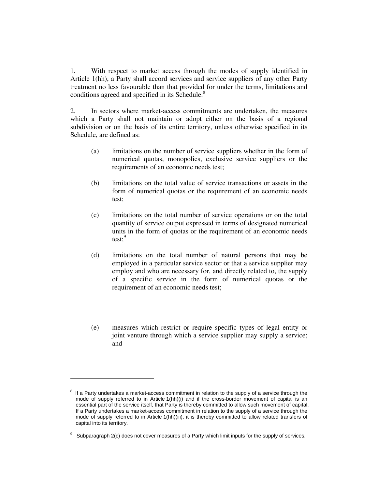1. With respect to market access through the modes of supply identified in Article 1(hh), a Party shall accord services and service suppliers of any other Party treatment no less favourable than that provided for under the terms, limitations and conditions agreed and specified in its Schedule.<sup>8</sup>

2. In sectors where market-access commitments are undertaken, the measures which a Party shall not maintain or adopt either on the basis of a regional subdivision or on the basis of its entire territory, unless otherwise specified in its Schedule, are defined as:

- (a) limitations on the number of service suppliers whether in the form of numerical quotas, monopolies, exclusive service suppliers or the requirements of an economic needs test;
- (b) limitations on the total value of service transactions or assets in the form of numerical quotas or the requirement of an economic needs test;
- (c) limitations on the total number of service operations or on the total quantity of service output expressed in terms of designated numerical units in the form of quotas or the requirement of an economic needs test:<sup>9</sup>
- (d) limitations on the total number of natural persons that may be employed in a particular service sector or that a service supplier may employ and who are necessary for, and directly related to, the supply of a specific service in the form of numerical quotas or the requirement of an economic needs test;
- (e) measures which restrict or require specific types of legal entity or joint venture through which a service supplier may supply a service; and

<sup>8</sup> If a Party undertakes a market-access commitment in relation to the supply of a service through the mode of supply referred to in Article 1(hh)(i) and if the cross-border movement of capital is an essential part of the service itself, that Party is thereby committed to allow such movement of capital. If a Party undertakes a market-access commitment in relation to the supply of a service through the mode of supply referred to in Article 1(hh)(iii), it is thereby committed to allow related transfers of capital into its territory.

<sup>9</sup> Subparagraph 2(c) does not cover measures of a Party which limit inputs for the supply of services.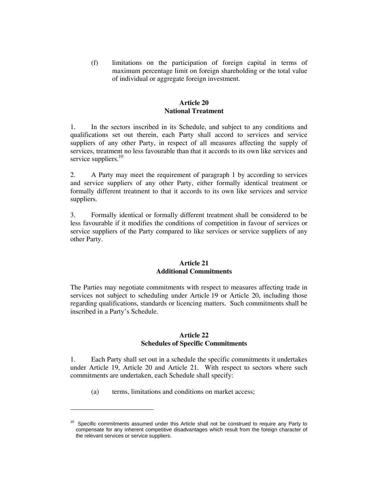(f) limitations on the participation of foreign capital in terms of maximum percentage limit on foreign shareholding or the total value of individual or aggregate foreign investment.

#### **Article 20 National Treatment**

1. In the sectors inscribed in its Schedule, and subject to any conditions and qualifications set out therein, each Party shall accord to services and service suppliers of any other Party, in respect of all measures affecting the supply of services, treatment no less favourable than that it accords to its own like services and service suppliers.<sup>10</sup>

2. A Party may meet the requirement of paragraph 1 by according to services and service suppliers of any other Party, either formally identical treatment or formally different treatment to that it accords to its own like services and service suppliers.

3. Formally identical or formally different treatment shall be considered to be less favourable if it modifies the conditions of competition in favour of services or service suppliers of the Party compared to like services or service suppliers of any other Party.

# **Article 21 Additional Commitments**

The Parties may negotiate commitments with respect to measures affecting trade in services not subject to scheduling under Article 19 or Article 20, including those regarding qualifications, standards or licencing matters. Such commitments shall be inscribed in a Party's Schedule.

# **Article 22 Schedules of Specific Commitments**

1. Each Party shall set out in a schedule the specific commitments it undertakes under Article 19, Article 20 and Article 21. With respect to sectors where such commitments are undertaken, each Schedule shall specify:

(a) terms, limitations and conditions on market access;

<sup>&</sup>lt;sup>10</sup> Specific commitments assumed under this Article shall not be construed to require any Party to compensate for any inherent competitive disadvantages which result from the foreign character of the relevant services or service suppliers.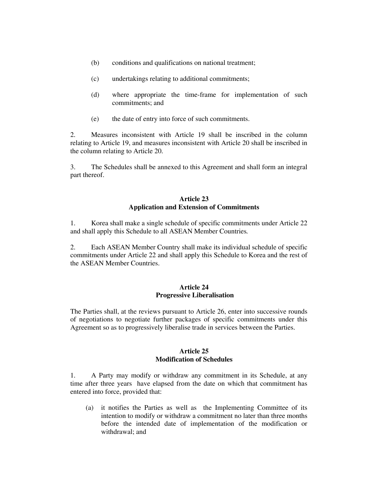- (b) conditions and qualifications on national treatment;
- (c) undertakings relating to additional commitments;
- (d) where appropriate the time-frame for implementation of such commitments; and
- (e) the date of entry into force of such commitments.

2. Measures inconsistent with Article 19 shall be inscribed in the column relating to Article 19, and measures inconsistent with Article 20 shall be inscribed in the column relating to Article 20.

3. The Schedules shall be annexed to this Agreement and shall form an integral part thereof.

#### **Article 23 Application and Extension of Commitments**

1. Korea shall make a single schedule of specific commitments under Article 22 and shall apply this Schedule to all ASEAN Member Countries*.* 

2. Each ASEAN Member Country shall make its individual schedule of specific commitments under Article 22 and shall apply this Schedule to Korea and the rest of the ASEAN Member Countries.

#### **Article 24 Progressive Liberalisation**

The Parties shall, at the reviews pursuant to Article 26, enter into successive rounds of negotiations to negotiate further packages of specific commitments under this Agreement so as to progressively liberalise trade in services between the Parties.

#### **Article 25 Modification of Schedules**

1. A Party may modify or withdraw any commitment in its Schedule, at any time after three years have elapsed from the date on which that commitment has entered into force, provided that:

(a) it notifies the Parties as well as the Implementing Committee of its intention to modify or withdraw a commitment no later than three months before the intended date of implementation of the modification or withdrawal; and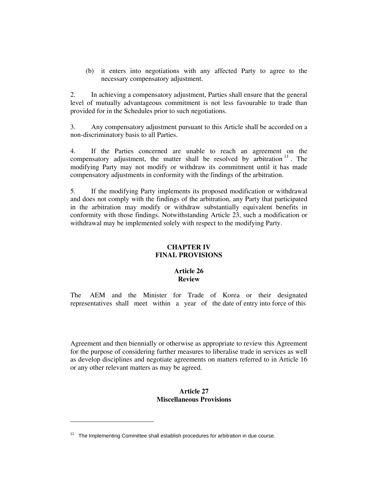(b) it enters into negotiations with any affected Party to agree to the necessary compensatory adjustment.

2. In achieving a compensatory adjustment, Parties shall ensure that the general level of mutually advantageous commitment is not less favourable to trade than provided for in the Schedules prior to such negotiations.

3. Any compensatory adjustment pursuant to this Article shall be accorded on a non-discriminatory basis to all Parties.

4. If the Parties concerned are unable to reach an agreement on the compensatory adjustment, the matter shall be resolved by arbitration  $11$ . The modifying Party may not modify or withdraw its commitment until it has made compensatory adjustments in conformity with the findings of the arbitration.

5. If the modifying Party implements its proposed modification or withdrawal and does not comply with the findings of the arbitration, any Party that participated in the arbitration may modify or withdraw substantially equivalent benefits in conformity with those findings. Notwithstanding Article 23, such a modification or withdrawal may be implemented solely with respect to the modifying Party.

#### **CHAPTER IV FINAL PROVISIONS**

#### **Article 26 Review**

The AEM and the Minister for Trade of Korea or their designated representatives shall meet within a year of the date of entry into force of this

Agreement and then biennially or otherwise as appropriate to review this Agreement for the purpose of considering further measures to liberalise trade in services as well as develop disciplines and negotiate agreements on matters referred to in Article 16 or any other relevant matters as may be agreed.

#### **Article 27 Miscellaneous Provisions**

 $11$  The Implementing Committee shall establish procedures for arbitration in due course.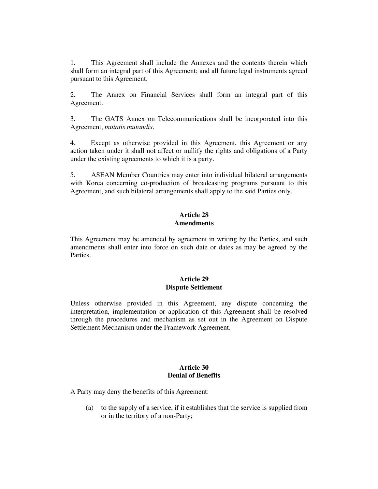1. This Agreement shall include the Annexes and the contents therein which shall form an integral part of this Agreement; and all future legal instruments agreed pursuant to this Agreement.

2. The Annex on Financial Services shall form an integral part of this Agreement.

3. The GATS Annex on Telecommunications shall be incorporated into this Agreement, *mutatis mutandis*.

4. Except as otherwise provided in this Agreement, this Agreement or any action taken under it shall not affect or nullify the rights and obligations of a Party under the existing agreements to which it is a party.

5*.* ASEAN Member Countries may enter into individual bilateral arrangements with Korea concerning co-production of broadcasting programs pursuant to this Agreement, and such bilateral arrangements shall apply to the said Parties only.

# **Article 28 Amendments**

This Agreement may be amended by agreement in writing by the Parties, and such amendments shall enter into force on such date or dates as may be agreed by the Parties.

#### **Article 29 Dispute Settlement**

Unless otherwise provided in this Agreement, any dispute concerning the interpretation, implementation or application of this Agreement shall be resolved through the procedures and mechanism as set out in the Agreement on Dispute Settlement Mechanism under the Framework Agreement.

# **Article 30 Denial of Benefits**

A Party may deny the benefits of this Agreement:

(a) to the supply of a service, if it establishes that the service is supplied from or in the territory of a non-Party;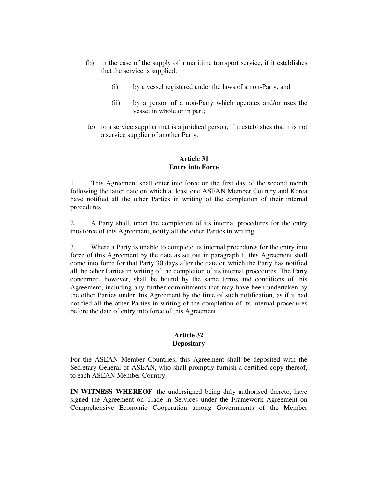- (b) in the case of the supply of a maritime transport service, if it establishes that the service is supplied:
	- (i) by a vessel registered under the laws of a non-Party, and
	- (ii) by a person of a non-Party which operates and/or uses the vessel in whole or in part;
- (c) to a service supplier that is a juridical person, if it establishes that it is not a service supplier of another Party.

#### **Article 31 Entry into Force**

1. This Agreement shall enter into force on the first day of the second month following the latter date on which at least one ASEAN Member Country and Korea have notified all the other Parties in writing of the completion of their internal procedures.

2. A Party shall, upon the completion of its internal procedures for the entry into force of this Agreement, notify all the other Parties in writing.

3. Where a Party is unable to complete its internal procedures for the entry into force of this Agreement by the date as set out in paragraph 1, this Agreement shall come into force for that Party 30 days after the date on which the Party has notified all the other Parties in writing of the completion of its internal procedures. The Party concerned, however, shall be bound by the same terms and conditions of this Agreement, including any further commitments that may have been undertaken by the other Parties under this Agreement by the time of such notification, as if it had notified all the other Parties in writing of the completion of its internal procedures before the date of entry into force of this Agreement.

#### **Article 32 Depositary**

For the ASEAN Member Countries, this Agreement shall be deposited with the Secretary-General of ASEAN, who shall promptly furnish a certified copy thereof, to each ASEAN Member Country.

**IN WITNESS WHEREOF**, the undersigned being duly authorised thereto, have signed the Agreement on Trade in Services under the Framework Agreement on Comprehensive Economic Cooperation among Governments of the Member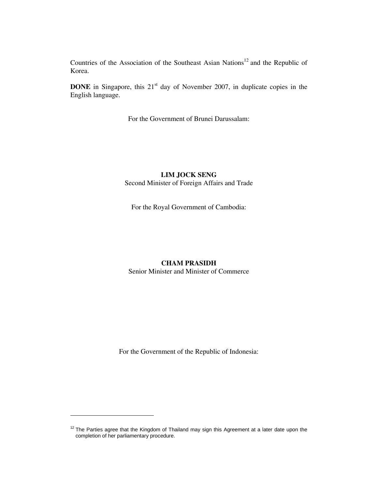Countries of the Association of the Southeast Asian Nations<sup>12</sup> and the Republic of Korea.

**DONE** in Singapore, this  $21<sup>st</sup>$  day of November 2007, in duplicate copies in the English language.

For the Government of Brunei Darussalam:

#### **LIM JOCK SENG**  Second Minister of Foreign Affairs and Trade

For the Royal Government of Cambodia:

#### **CHAM PRASIDH**  Senior Minister and Minister of Commerce

For the Government of the Republic of Indonesia:

 $12$  The Parties agree that the Kingdom of Thailand may sign this Agreement at a later date upon the completion of her parliamentary procedure.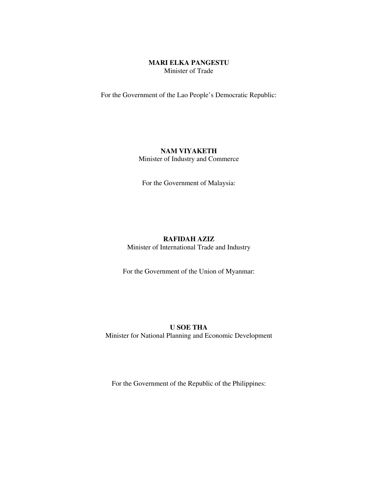# **MARI ELKA PANGESTU**  Minister of Trade

For the Government of the Lao People's Democratic Republic:

# **NAM VIYAKETH**

Minister of Industry and Commerce

For the Government of Malaysia:

# **RAFIDAH AZIZ**

Minister of International Trade and Industry

For the Government of the Union of Myanmar:

# **U SOE THA**

Minister for National Planning and Economic Development

For the Government of the Republic of the Philippines: